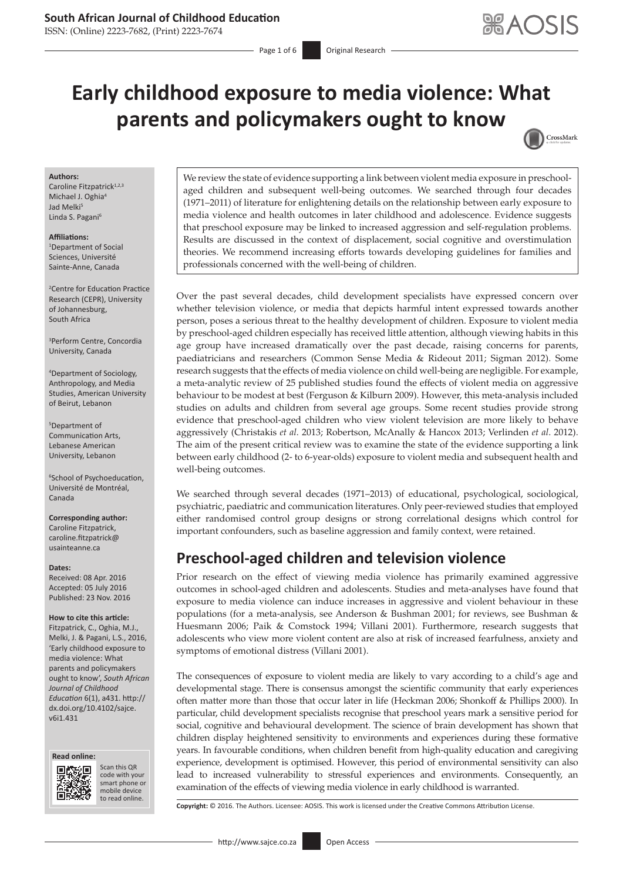#### **South African Journal of Childhood Education**

ISSN: (Online) 2223-7682, (Print) 2223-7674

# **Early childhood exposure to media violence: What parents and policymakers ought to know**



#### **Authors:**

Caroline Fitzpatrick<sup>1,2,3</sup> Michael J. Oghia<sup>4</sup> Jad Melki<sup>5</sup> Linda S. Pagani<sup>6</sup>

#### **Affiliations:**

1 Department of Social Sciences, Université Sainte-Anne, Canada

2 Centre for Education Practice Research (CEPR), University of Johannesburg, South Africa

3 Perform Centre, Concordia University, Canada

4 Department of Sociology, Anthropology, and Media Studies, American University of Beirut, Lebanon

5 Department of Communication Arts, Lebanese American University, Lebanon

6 School of Psychoeducation, Université de Montréal, Canada

**Corresponding author:** Caroline Fitzpatrick, [caroline.fitzpatrick@](mailto:caroline.fitzpatrick@usainteanne.ca) [usainteanne.ca](mailto:caroline.fitzpatrick@usainteanne.ca)

#### **Dates:**

Received: 08 Apr. 2016 Accepted: 05 July 2016 Published: 23 Nov. 2016

#### **How to cite this article:**

Fitzpatrick, C., Oghia, M.J., Melki, J. & Pagani, L.S., 2016, 'Early childhood exposure to media violence: What parents and policymakers ought to know', *South African Journal of Childhood Education* 6(1), a431. [http://](http://dx.doi.org/10.4102/sajce.v6i1.431) [dx.doi.org/10.4102/sajce.](http://dx.doi.org/10.4102/sajce.v6i1.431) [v6i1.431](http://dx.doi.org/10.4102/sajce.v6i1.431)





Scan this QR code with your Scan this QR<br>code with your<br>smart phone or<br>mobile device mobile device to read online. to read online.

We review the state of evidence supporting a link between violent media exposure in preschoolaged children and subsequent well-being outcomes. We searched through four decades (1971–2011) of literature for enlightening details on the relationship between early exposure to media violence and health outcomes in later childhood and adolescence. Evidence suggests that preschool exposure may be linked to increased aggression and self-regulation problems. Results are discussed in the context of displacement, social cognitive and overstimulation theories. We recommend increasing efforts towards developing guidelines for families and professionals concerned with the well-being of children.

Over the past several decades, child development specialists have expressed concern over whether television violence, or media that depicts harmful intent expressed towards another person, poses a serious threat to the healthy development of children. Exposure to violent media by preschool-aged children especially has received little attention, although viewing habits in this age group have increased dramatically over the past decade, raising concerns for parents, paediatricians and researchers (Common Sense Media & Rideout 2011; Sigman 2012). Some research suggests that the effects of media violence on child well-being are negligible. For example, a meta-analytic review of 25 published studies found the effects of violent media on aggressive behaviour to be modest at best (Ferguson & Kilburn 2009). However, this meta-analysis included studies on adults and children from several age groups. Some recent studies provide strong evidence that preschool-aged children who view violent television are more likely to behave aggressively (Christakis *et al*. 2013; Robertson, McAnally & Hancox 2013; Verlinden *et al*. 2012). The aim of the present critical review was to examine the state of the evidence supporting a link between early childhood (2- to 6-year-olds) exposure to violent media and subsequent health and well-being outcomes.

We searched through several decades (1971–2013) of educational, psychological, sociological, psychiatric, paediatric and communication literatures. Only peer-reviewed studies that employed either randomised control group designs or strong correlational designs which control for important confounders, such as baseline aggression and family context, were retained.

## **Preschool-aged children and television violence**

Prior research on the effect of viewing media violence has primarily examined aggressive outcomes in school-aged children and adolescents. Studies and meta-analyses have found that exposure to media violence can induce increases in aggressive and violent behaviour in these populations (for a meta-analysis, see Anderson & Bushman 2001; for reviews, see Bushman & Huesmann 2006; Paik & Comstock 1994; Villani 2001). Furthermore, research suggests that adolescents who view more violent content are also at risk of increased fearfulness, anxiety and symptoms of emotional distress (Villani 2001).

The consequences of exposure to violent media are likely to vary according to a child's age and developmental stage. There is consensus amongst the scientific community that early experiences often matter more than those that occur later in life (Heckman 2006; Shonkoff & Phillips 2000). In particular, child development specialists recognise that preschool years mark a sensitive period for social, cognitive and behavioural development. The science of brain development has shown that children display heightened sensitivity to environments and experiences during these formative years. In favourable conditions, when children benefit from high-quality education and caregiving experience, development is optimised. However, this period of environmental sensitivity can also lead to increased vulnerability to stressful experiences and environments. Consequently, an examination of the effects of viewing media violence in early childhood is warranted.

**Copyright:** © 2016. The Authors. Licensee: AOSIS. This work is licensed under the Creative Commons Attribution License.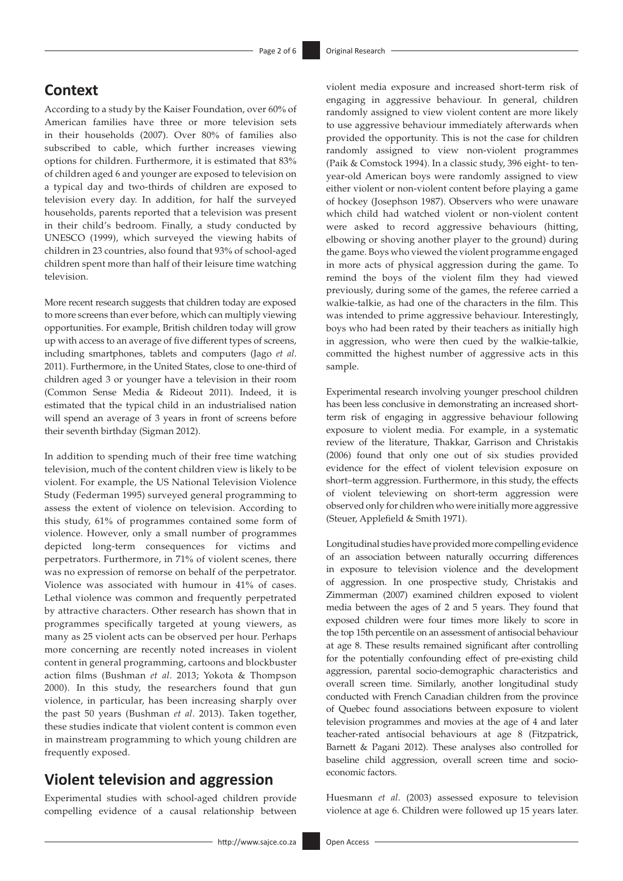### **Context**

According to a study by the Kaiser Foundation, over 60% of American families have three or more television sets in their households (2007). Over 80% of families also subscribed to cable, which further increases viewing options for children. Furthermore, it is estimated that 83% of children aged 6 and younger are exposed to television on a typical day and two-thirds of children are exposed to television every day. In addition, for half the surveyed households, parents reported that a television was present in their child's bedroom. Finally, a study conducted by UNESCO (1999), which surveyed the viewing habits of children in 23 countries, also found that 93% of school-aged children spent more than half of their leisure time watching television.

More recent research suggests that children today are exposed to more screens than ever before, which can multiply viewing opportunities. For example, British children today will grow up with access to an average of five different types of screens, including smartphones, tablets and computers (Jago *et al*. 2011). Furthermore, in the United States, close to one-third of children aged 3 or younger have a television in their room (Common Sense Media & Rideout 2011). Indeed, it is estimated that the typical child in an industrialised nation will spend an average of 3 years in front of screens before their seventh birthday (Sigman 2012).

In addition to spending much of their free time watching television, much of the content children view is likely to be violent. For example, the US National Television Violence Study (Federman 1995) surveyed general programming to assess the extent of violence on television. According to this study, 61% of programmes contained some form of violence. However, only a small number of programmes depicted long-term consequences for victims and perpetrators. Furthermore, in 71% of violent scenes, there was no expression of remorse on behalf of the perpetrator. Violence was associated with humour in 41% of cases. Lethal violence was common and frequently perpetrated by attractive characters. Other research has shown that in programmes specifically targeted at young viewers, as many as 25 violent acts can be observed per hour. Perhaps more concerning are recently noted increases in violent content in general programming, cartoons and blockbuster action films (Bushman *et al*. 2013; Yokota & Thompson 2000). In this study, the researchers found that gun violence, in particular, has been increasing sharply over the past 50 years (Bushman *et al*. 2013). Taken together, these studies indicate that violent content is common even in mainstream programming to which young children are frequently exposed.

### **Violent television and aggression**

Experimental studies with school-aged children provide compelling evidence of a causal relationship between

to use aggressive behaviour immediately afterwards when provided the opportunity. This is not the case for children randomly assigned to view non-violent programmes (Paik & Comstock 1994). In a classic study, 396 eight- to tenyear-old American boys were randomly assigned to view either violent or non-violent content before playing a game of hockey (Josephson 1987). Observers who were unaware which child had watched violent or non-violent content were asked to record aggressive behaviours (hitting, elbowing or shoving another player to the ground) during the game. Boys who viewed the violent programme engaged in more acts of physical aggression during the game. To remind the boys of the violent film they had viewed previously, during some of the games, the referee carried a walkie-talkie, as had one of the characters in the film. This was intended to prime aggressive behaviour. Interestingly, boys who had been rated by their teachers as initially high in aggression, who were then cued by the walkie-talkie, committed the highest number of aggressive acts in this sample. Experimental research involving younger preschool children

violent media exposure and increased short-term risk of engaging in aggressive behaviour. In general, children randomly assigned to view violent content are more likely

has been less conclusive in demonstrating an increased shortterm risk of engaging in aggressive behaviour following exposure to violent media. For example, in a systematic review of the literature, Thakkar, Garrison and Christakis (2006) found that only one out of six studies provided evidence for the effect of violent television exposure on short–term aggression. Furthermore, in this study, the effects of violent televiewing on short-term aggression were observed only for children who were initially more aggressive (Steuer, Applefield & Smith 1971).

Longitudinal studies have provided more compelling evidence of an association between naturally occurring differences in exposure to television violence and the development of aggression. In one prospective study, Christakis and Zimmerman (2007) examined children exposed to violent media between the ages of 2 and 5 years. They found that exposed children were four times more likely to score in the top 15th percentile on an assessment of antisocial behaviour at age 8. These results remained significant after controlling for the potentially confounding effect of pre-existing child aggression, parental socio-demographic characteristics and overall screen time. Similarly, another longitudinal study conducted with French Canadian children from the province of Quebec found associations between exposure to violent television programmes and movies at the age of 4 and later teacher-rated antisocial behaviours at age 8 (Fitzpatrick, Barnett & Pagani 2012). These analyses also controlled for baseline child aggression, overall screen time and socioeconomic factors.

Huesmann *et al*. (2003) assessed exposure to television violence at age 6. Children were followed up 15 years later.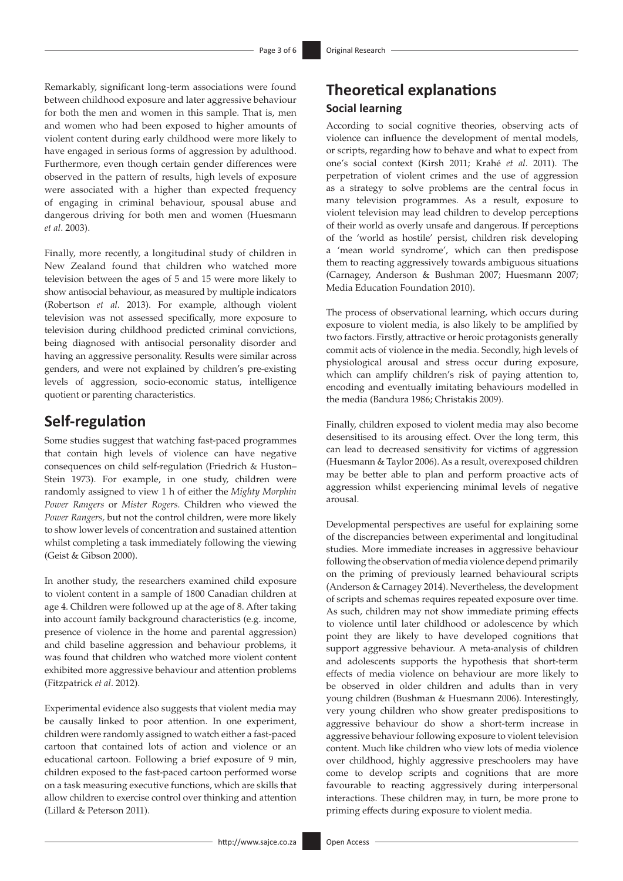Remarkably, significant long-term associations were found between childhood exposure and later aggressive behaviour for both the men and women in this sample. That is, men and women who had been exposed to higher amounts of violent content during early childhood were more likely to have engaged in serious forms of aggression by adulthood. Furthermore, even though certain gender differences were observed in the pattern of results, high levels of exposure were associated with a higher than expected frequency of engaging in criminal behaviour, spousal abuse and dangerous driving for both men and women (Huesmann *et al*. 2003).

Finally, more recently, a longitudinal study of children in New Zealand found that children who watched more television between the ages of 5 and 15 were more likely to show antisocial behaviour, as measured by multiple indicators (Robertson *et al*. 2013). For example, although violent television was not assessed specifically, more exposure to television during childhood predicted criminal convictions, being diagnosed with antisocial personality disorder and having an aggressive personality. Results were similar across genders, and were not explained by children's pre-existing levels of aggression, socio-economic status, intelligence quotient or parenting characteristics.

### **Self-regulation**

Some studies suggest that watching fast-paced programmes that contain high levels of violence can have negative consequences on child self-regulation (Friedrich & Huston– Stein 1973). For example, in one study, children were randomly assigned to view 1 h of either the *Mighty Morphin Power Rangers* or *Mister Rogers.* Children who viewed the *Power Rangers,* but not the control children, were more likely to show lower levels of concentration and sustained attention whilst completing a task immediately following the viewing (Geist & Gibson 2000).

In another study, the researchers examined child exposure to violent content in a sample of 1800 Canadian children at age 4. Children were followed up at the age of 8. After taking into account family background characteristics (e.g. income, presence of violence in the home and parental aggression) and child baseline aggression and behaviour problems, it was found that children who watched more violent content exhibited more aggressive behaviour and attention problems (Fitzpatrick *et al*. 2012).

Experimental evidence also suggests that violent media may be causally linked to poor attention. In one experiment, children were randomly assigned to watch either a fast-paced cartoon that contained lots of action and violence or an educational cartoon. Following a brief exposure of 9 min, children exposed to the fast-paced cartoon performed worse on a task measuring executive functions, which are skills that allow children to exercise control over thinking and attention (Lillard & Peterson 2011).

# **Theoretical explanations Social learning**

According to social cognitive theories, observing acts of violence can influence the development of mental models, or scripts, regarding how to behave and what to expect from one's social context (Kirsh 2011; Krahé *et al*. 2011). The perpetration of violent crimes and the use of aggression as a strategy to solve problems are the central focus in many television programmes. As a result, exposure to violent television may lead children to develop perceptions of their world as overly unsafe and dangerous. If perceptions of the 'world as hostile' persist, children risk developing a 'mean world syndrome', which can then predispose them to reacting aggressively towards ambiguous situations (Carnagey, Anderson & Bushman 2007; Huesmann 2007; Media Education Foundation 2010).

The process of observational learning, which occurs during exposure to violent media, is also likely to be amplified by two factors. Firstly, attractive or heroic protagonists generally commit acts of violence in the media. Secondly, high levels of physiological arousal and stress occur during exposure, which can amplify children's risk of paying attention to, encoding and eventually imitating behaviours modelled in the media (Bandura 1986; Christakis 2009).

Finally, children exposed to violent media may also become desensitised to its arousing effect. Over the long term, this can lead to decreased sensitivity for victims of aggression (Huesmann & Taylor 2006). As a result, overexposed children may be better able to plan and perform proactive acts of aggression whilst experiencing minimal levels of negative arousal.

Developmental perspectives are useful for explaining some of the discrepancies between experimental and longitudinal studies. More immediate increases in aggressive behaviour following the observation of media violence depend primarily on the priming of previously learned behavioural scripts (Anderson & Carnagey 2014). Nevertheless, the development of scripts and schemas requires repeated exposure over time. As such, children may not show immediate priming effects to violence until later childhood or adolescence by which point they are likely to have developed cognitions that support aggressive behaviour. A meta-analysis of children and adolescents supports the hypothesis that short-term effects of media violence on behaviour are more likely to be observed in older children and adults than in very young children (Bushman & Huesmann 2006). Interestingly, very young children who show greater predispositions to aggressive behaviour do show a short-term increase in aggressive behaviour following exposure to violent television content. Much like children who view lots of media violence over childhood, highly aggressive preschoolers may have come to develop scripts and cognitions that are more favourable to reacting aggressively during interpersonal interactions. These children may, in turn, be more prone to priming effects during exposure to violent media.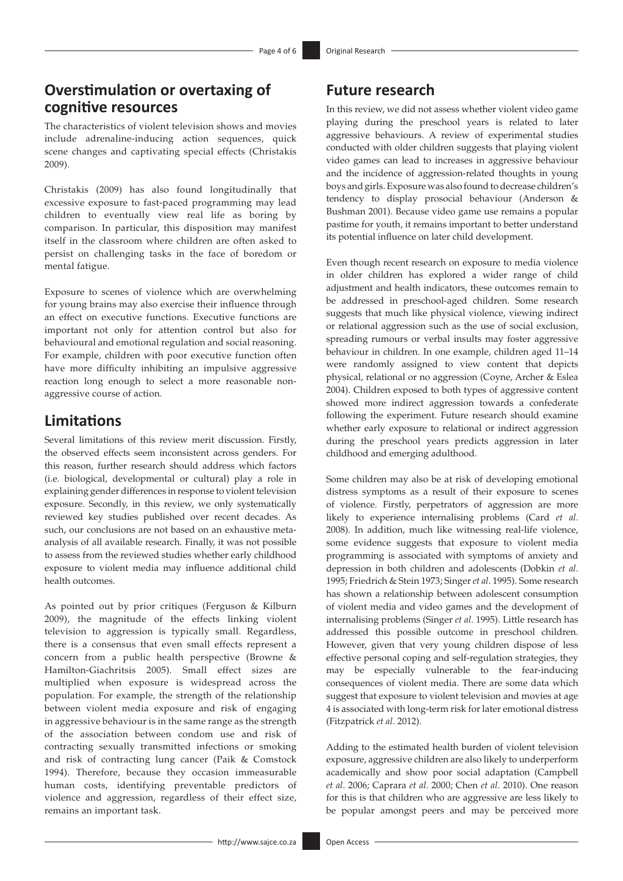### **Overstimulation or overtaxing of cognitive resources**

The characteristics of violent television shows and movies include adrenaline-inducing action sequences, quick scene changes and captivating special effects (Christakis 2009).

Christakis (2009) has also found longitudinally that excessive exposure to fast-paced programming may lead children to eventually view real life as boring by comparison. In particular, this disposition may manifest itself in the classroom where children are often asked to persist on challenging tasks in the face of boredom or mental fatigue.

Exposure to scenes of violence which are overwhelming for young brains may also exercise their influence through an effect on executive functions. Executive functions are important not only for attention control but also for behavioural and emotional regulation and social reasoning. For example, children with poor executive function often have more difficulty inhibiting an impulsive aggressive reaction long enough to select a more reasonable nonaggressive course of action.

### **Limitations**

Several limitations of this review merit discussion. Firstly, the observed effects seem inconsistent across genders. For this reason, further research should address which factors (i.e. biological, developmental or cultural) play a role in explaining gender differences in response to violent television exposure. Secondly, in this review, we only systematically reviewed key studies published over recent decades. As such, our conclusions are not based on an exhaustive metaanalysis of all available research. Finally, it was not possible to assess from the reviewed studies whether early childhood exposure to violent media may influence additional child health outcomes.

As pointed out by prior critiques (Ferguson & Kilburn 2009), the magnitude of the effects linking violent television to aggression is typically small. Regardless, there is a consensus that even small effects represent a concern from a public health perspective (Browne & Hamilton-Giachritsis 2005). Small effect sizes are multiplied when exposure is widespread across the population. For example, the strength of the relationship between violent media exposure and risk of engaging in aggressive behaviour is in the same range as the strength of the association between condom use and risk of contracting sexually transmitted infections or smoking and risk of contracting lung cancer (Paik & Comstock 1994). Therefore, because they occasion immeasurable human costs, identifying preventable predictors of violence and aggression, regardless of their effect size, remains an important task.

#### **Future research**

In this review, we did not assess whether violent video game playing during the preschool years is related to later aggressive behaviours. A review of experimental studies conducted with older children suggests that playing violent video games can lead to increases in aggressive behaviour and the incidence of aggression-related thoughts in young boys and girls. Exposure was also found to decrease children's tendency to display prosocial behaviour (Anderson & Bushman 2001). Because video game use remains a popular pastime for youth, it remains important to better understand its potential influence on later child development.

Even though recent research on exposure to media violence in older children has explored a wider range of child adjustment and health indicators, these outcomes remain to be addressed in preschool-aged children. Some research suggests that much like physical violence, viewing indirect or relational aggression such as the use of social exclusion, spreading rumours or verbal insults may foster aggressive behaviour in children. In one example, children aged 11–14 were randomly assigned to view content that depicts physical, relational or no aggression (Coyne, Archer & Eslea 2004). Children exposed to both types of aggressive content showed more indirect aggression towards a confederate following the experiment. Future research should examine whether early exposure to relational or indirect aggression during the preschool years predicts aggression in later childhood and emerging adulthood.

Some children may also be at risk of developing emotional distress symptoms as a result of their exposure to scenes of violence. Firstly, perpetrators of aggression are more likely to experience internalising problems (Card *et al*. 2008). In addition, much like witnessing real-life violence, some evidence suggests that exposure to violent media programming is associated with symptoms of anxiety and depression in both children and adolescents (Dobkin *et al*. 1995; Friedrich & Stein 1973; Singer *et al*. 1995). Some research has shown a relationship between adolescent consumption of violent media and video games and the development of internalising problems (Singer *et al*. 1995). Little research has addressed this possible outcome in preschool children. However, given that very young children dispose of less effective personal coping and self-regulation strategies, they may be especially vulnerable to the fear-inducing consequences of violent media. There are some data which suggest that exposure to violent television and movies at age 4 is associated with long-term risk for later emotional distress (Fitzpatrick *et al*. 2012).

Adding to the estimated health burden of violent television exposure, aggressive children are also likely to underperform academically and show poor social adaptation (Campbell *et al*. 2006; Caprara *et al*. 2000; Chen *et al*. 2010). One reason for this is that children who are aggressive are less likely to be popular amongst peers and may be perceived more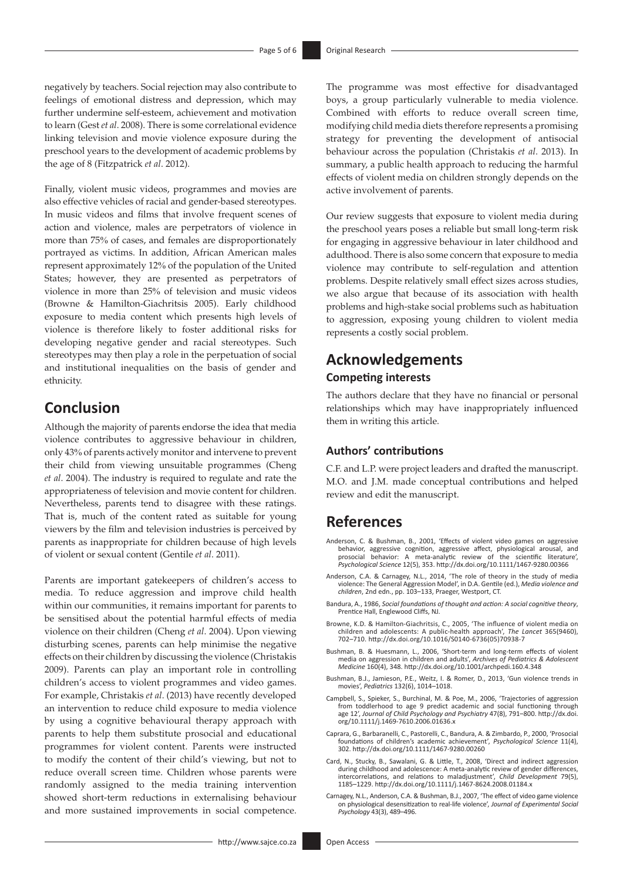negatively by teachers. Social rejection may also contribute to feelings of emotional distress and depression, which may further undermine self-esteem, achievement and motivation to learn (Gest *et al*. 2008). There is some correlational evidence linking television and movie violence exposure during the preschool years to the development of academic problems by the age of 8 (Fitzpatrick *et al*. 2012).

Finally, violent music videos, programmes and movies are also effective vehicles of racial and gender-based stereotypes. In music videos and films that involve frequent scenes of action and violence, males are perpetrators of violence in more than 75% of cases, and females are disproportionately portrayed as victims. In addition, African American males represent approximately 12% of the population of the United States; however, they are presented as perpetrators of violence in more than 25% of television and music videos (Browne & Hamilton-Giachritsis 2005). Early childhood exposure to media content which presents high levels of violence is therefore likely to foster additional risks for developing negative gender and racial stereotypes. Such stereotypes may then play a role in the perpetuation of social and institutional inequalities on the basis of gender and ethnicity.

### **Conclusion**

Although the majority of parents endorse the idea that media violence contributes to aggressive behaviour in children, only 43% of parents actively monitor and intervene to prevent their child from viewing unsuitable programmes (Cheng *et al*. 2004). The industry is required to regulate and rate the appropriateness of television and movie content for children. Nevertheless, parents tend to disagree with these ratings. That is, much of the content rated as suitable for young viewers by the film and television industries is perceived by parents as inappropriate for children because of high levels of violent or sexual content (Gentile *et al*. 2011).

Parents are important gatekeepers of children's access to media. To reduce aggression and improve child health within our communities, it remains important for parents to be sensitised about the potential harmful effects of media violence on their children (Cheng *et al*. 2004). Upon viewing disturbing scenes, parents can help minimise the negative effects on their children by discussing the violence (Christakis 2009). Parents can play an important role in controlling children's access to violent programmes and video games. For example, Christakis *et al*. (2013) have recently developed an intervention to reduce child exposure to media violence by using a cognitive behavioural therapy approach with parents to help them substitute prosocial and educational programmes for violent content. Parents were instructed to modify the content of their child's viewing, but not to reduce overall screen time. Children whose parents were randomly assigned to the media training intervention showed short-term reductions in externalising behaviour and more sustained improvements in social competence.

The programme was most effective for disadvantaged boys, a group particularly vulnerable to media violence. Combined with efforts to reduce overall screen time, modifying child media diets therefore represents a promising strategy for preventing the development of antisocial behaviour across the population (Christakis *et al*. 2013). In summary, a public health approach to reducing the harmful effects of violent media on children strongly depends on the active involvement of parents.

Our review suggests that exposure to violent media during the preschool years poses a reliable but small long-term risk for engaging in aggressive behaviour in later childhood and adulthood. There is also some concern that exposure to media violence may contribute to self-regulation and attention problems. Despite relatively small effect sizes across studies, we also argue that because of its association with health problems and high-stake social problems such as habituation to aggression, exposing young children to violent media represents a costly social problem.

#### **Acknowledgements Competing interests**

The authors declare that they have no financial or personal relationships which may have inappropriately influenced them in writing this article.

#### **Authors' contributions**

C.F. and L.P. were project leaders and drafted the manuscript. M.O. and J.M. made conceptual contributions and helped review and edit the manuscript.

#### **References**

- Anderson, C. & Bushman, B., 2001, 'Effects of violent video games on aggressive behavior, aggressive cognition, aggressive affect, physiological arousal, and prosocial behavior: A meta-analytic review of the scientific literature', *Psychological Science* 12(5), 353.<http://dx.doi.org/10.1111/1467-9280.00366>
- Anderson, C.A. & Carnagey, N.L., 2014, 'The role of theory in the study of media violence: The General Aggression Model', in D.A. Gentile (ed.), *Media violence and children*, 2nd edn., pp. 103–133, Praeger, Westport, CT.
- Bandura, A., 1986, *Social foundations of thought and action: A social cognitive theory*, Prentice Hall, Englewood Cliffs, NJ.
- Browne, K.D. & Hamilton-Giachritsis, C., 2005, 'The influence of violent media on children and adolescents: A public-health approach', *The Lancet* 365(9460), 702–710. [http://dx.doi.org/10.1016/S0140-6736\(05\)70938-7](http://dx.doi.org/10.1016/S0140-6736(05)70938-7)
- Bushman, B. & Huesmann, L., 2006, 'Short-term and long-term effects of violent media on aggression in children and adults', *Archives of Pediatrics & Adolescent Medicine* 160(4), 348.<http://dx.doi.org/10.1001/archpedi.160.4.348>
- Bushman, B.J., Jamieson, P.E., Weitz, I. & Romer, D., 2013, 'Gun violence trends in movies', *Pediatrics* 132(6), 1014–1018.
- Campbell, S., Spieker, S., Burchinal, M. & Poe, M., 2006, 'Trajectories of aggression<br>from toddlerhood to age 9 predict academic and social functioning through<br>age 12', Journal of Child Psychology and Psychiatry 47(8), 791 [org/10.1111/j.1469-7610.2006.01636.x](http://dx.doi.org/10.1111/j.1469-7610.2006.01636.x)
- Caprara, G., Barbaranelli, C., Pastorelli, C., Bandura, A. & Zimbardo, P., 2000, 'Prosocial foundations of children's academic achievement', *Psychological Science* 11(4), 302.<http://dx.doi.org/10.1111/1467-9280.00260>
- Card, N., Stucky, B., Sawalani, G. & Little, T., 2008, 'Direct and indirect aggression during childhood and adolescence: A meta-analytic review of gender differences, intercorrelations, and relations to maladjustment', *Child Development* 79(5), 1185–1229.<http://dx.doi.org/10.1111/j.1467-8624.2008.01184.x>
- Carnagey, N.L., Anderson, C.A. & Bushman, B.J., 2007, 'The effect of video game violence on physiological desensitization to real-life violence', *Journal of Experimental Social Psychology* 43(3), 489–496.